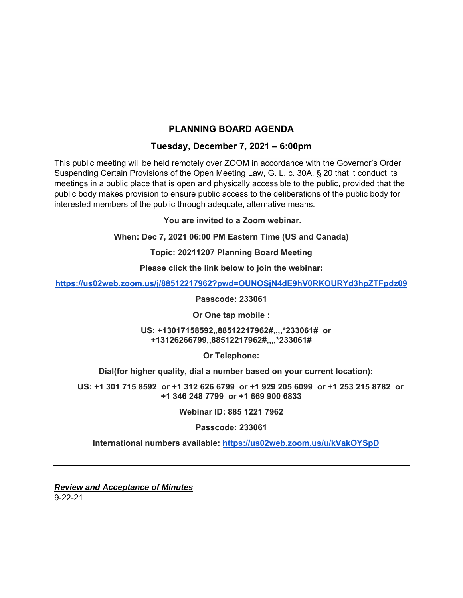# **PLANNING BOARD AGENDA**

## **Tuesday, December 7, 2021 – 6:00pm**

This public meeting will be held remotely over ZOOM in accordance with the Governor's Order Suspending Certain Provisions of the Open Meeting Law, G. L. c. 30A, § 20 that it conduct its meetings in a public place that is open and physically accessible to the public, provided that the public body makes provision to ensure public access to the deliberations of the public body for interested members of the public through adequate, alternative means.

 **You are invited to a Zoom webinar.** 

**When: Dec 7, 2021 06:00 PM Eastern Time (US and Canada)** 

**Topic: 20211207 Planning Board Meeting** 

**Please click the link below to join the webinar:** 

**https://us02web.zoom.us/j/88512217962?pwd=OUNOSjN4dE9hV0RKOURYd3hpZTFpdz09** 

**Passcode: 233061** 

**Or One tap mobile :** 

 **US: +13017158592,,88512217962#,,,,\*233061# or +13126266799,,88512217962#,,,,\*233061#** 

**Or Telephone:** 

 **Dial(for higher quality, dial a number based on your current location):** 

 **US: +1 301 715 8592 or +1 312 626 6799 or +1 929 205 6099 or +1 253 215 8782 or +1 346 248 7799 or +1 669 900 6833** 

**Webinar ID: 885 1221 7962** 

**Passcode: 233061** 

 **International numbers available: https://us02web.zoom.us/u/kVakOYSpD**

*Review and Acceptance of Minutes*  9-22-21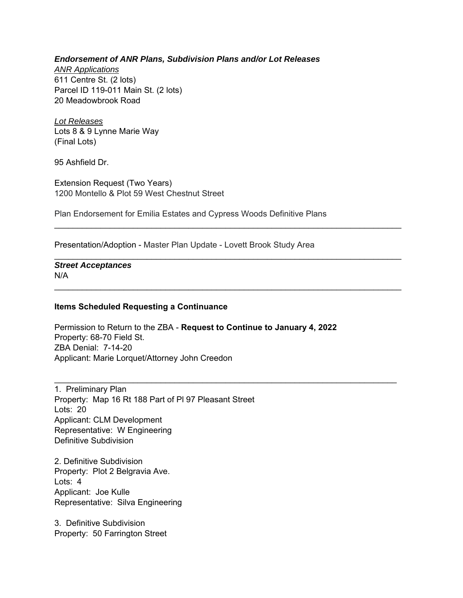### *Endorsement of ANR Plans, Subdivision Plans and/or Lot Releases*

*ANR Applications*  611 Centre St. (2 lots) Parcel ID 119-011 Main St. (2 lots) 20 Meadowbrook Road

*Lot Releases*  Lots 8 & 9 Lynne Marie Way (Final Lots)

95 Ashfield Dr.

Extension Request (Two Years) 1200 Montello & Plot 59 West Chestnut Street

Plan Endorsement for Emilia Estates and Cypress Woods Definitive Plans

 $\mathcal{L}_\text{max}$  and  $\mathcal{L}_\text{max}$  and  $\mathcal{L}_\text{max}$  and  $\mathcal{L}_\text{max}$  and  $\mathcal{L}_\text{max}$  and  $\mathcal{L}_\text{max}$ 

 $\mathcal{L}_\text{max}$  and  $\mathcal{L}_\text{max}$  and  $\mathcal{L}_\text{max}$  and  $\mathcal{L}_\text{max}$  and  $\mathcal{L}_\text{max}$  and  $\mathcal{L}_\text{max}$ 

Presentation/Adoption - Master Plan Update - Lovett Brook Study Area

#### *Street Acceptances*  N/A

 $\mathcal{L}_\text{max}$  and  $\mathcal{L}_\text{max}$  and  $\mathcal{L}_\text{max}$  and  $\mathcal{L}_\text{max}$  and  $\mathcal{L}_\text{max}$  and  $\mathcal{L}_\text{max}$ 

### **Items Scheduled Requesting a Continuance**

Permission to Return to the ZBA - **Request to Continue to January 4, 2022**  Property: 68-70 Field St. ZBA Denial: 7-14-20 Applicant: Marie Lorquet/Attorney John Creedon

1. Preliminary Plan Property: Map 16 Rt 188 Part of Pl 97 Pleasant Street Lots: 20 Applicant: CLM Development Representative: W Engineering Definitive Subdivision

2. Definitive Subdivision Property: Plot 2 Belgravia Ave. Lots: 4 Applicant: Joe Kulle Representative: Silva Engineering

3. Definitive Subdivision Property: 50 Farrington Street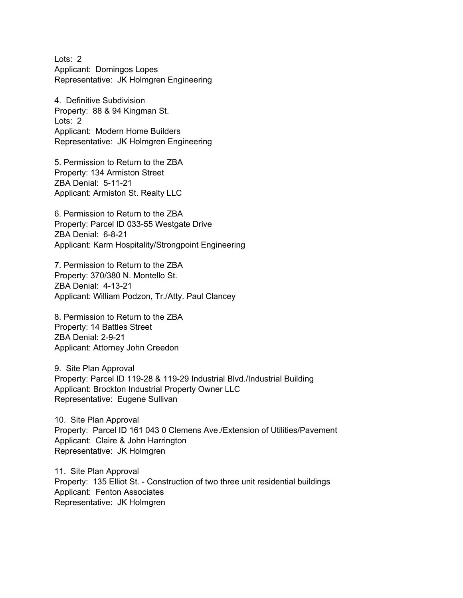Lots: 2 Applicant: Domingos Lopes Representative: JK Holmgren Engineering

4. Definitive Subdivision Property: 88 & 94 Kingman St. Lots: 2 Applicant: Modern Home Builders Representative: JK Holmgren Engineering

5. Permission to Return to the ZBA Property: 134 Armiston Street ZBA Denial: 5-11-21 Applicant: Armiston St. Realty LLC

6. Permission to Return to the ZBA Property: Parcel ID 033-55 Westgate Drive ZBA Denial: 6-8-21 Applicant: Karm Hospitality/Strongpoint Engineering

7. Permission to Return to the ZBA Property: 370/380 N. Montello St. ZBA Denial: 4-13-21 Applicant: William Podzon, Tr./Atty. Paul Clancey

8. Permission to Return to the ZBA Property: 14 Battles Street ZBA Denial: 2-9-21 Applicant: Attorney John Creedon

9. Site Plan Approval Property: Parcel ID 119-28 & 119-29 Industrial Blvd./Industrial Building Applicant: Brockton Industrial Property Owner LLC Representative: Eugene Sullivan

10. Site Plan Approval Property: Parcel ID 161 043 0 Clemens Ave./Extension of Utilities/Pavement Applicant: Claire & John Harrington Representative: JK Holmgren

11. Site Plan Approval Property: 135 Elliot St. - Construction of two three unit residential buildings Applicant: Fenton Associates Representative: JK Holmgren